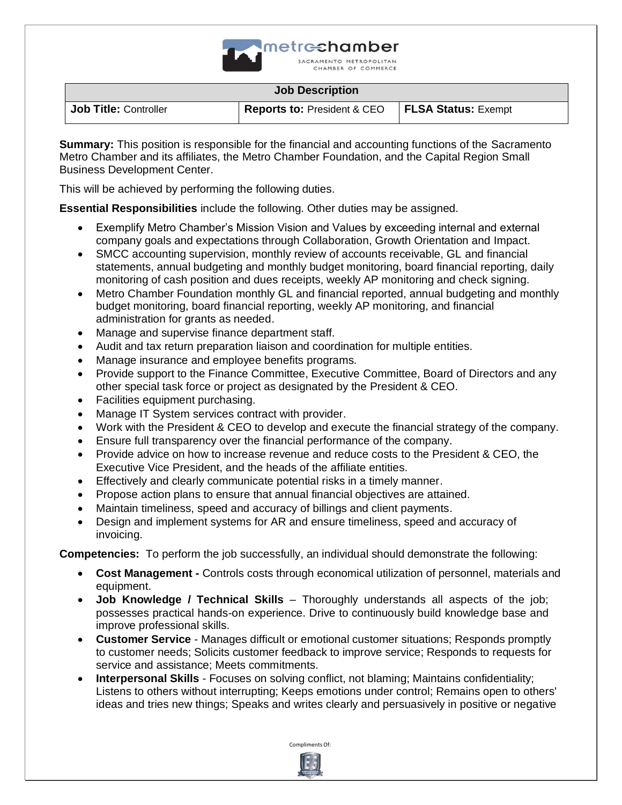

**Job Title:** Controller **Reports to: President & CEO FLSA Status:** Exempt

**Summary:** This position is responsible for the financial and accounting functions of the Sacramento Metro Chamber and its affiliates, the Metro Chamber Foundation, and the Capital Region Small Business Development Center.

This will be achieved by performing the following duties.

**Essential Responsibilities** include the following. Other duties may be assigned.

- Exemplify Metro Chamber's Mission Vision and Values by exceeding internal and external company goals and expectations through Collaboration, Growth Orientation and Impact.
- SMCC accounting supervision, monthly review of accounts receivable, GL and financial statements, annual budgeting and monthly budget monitoring, board financial reporting, daily monitoring of cash position and dues receipts, weekly AP monitoring and check signing.
- Metro Chamber Foundation monthly GL and financial reported, annual budgeting and monthly budget monitoring, board financial reporting, weekly AP monitoring, and financial administration for grants as needed.
- Manage and supervise finance department staff.
- Audit and tax return preparation liaison and coordination for multiple entities.
- Manage insurance and employee benefits programs.
- Provide support to the Finance Committee, Executive Committee, Board of Directors and any other special task force or project as designated by the President & CEO.
- Facilities equipment purchasing.
- Manage IT System services contract with provider.
- Work with the President & CEO to develop and execute the financial strategy of the company.
- Ensure full transparency over the financial performance of the company.
- Provide advice on how to increase revenue and reduce costs to the President & CEO, the Executive Vice President, and the heads of the affiliate entities.
- Effectively and clearly communicate potential risks in a timely manner.
- Propose action plans to ensure that annual financial objectives are attained.
- Maintain timeliness, speed and accuracy of billings and client payments.
- Design and implement systems for AR and ensure timeliness, speed and accuracy of invoicing.

**Competencies:** To perform the job successfully, an individual should demonstrate the following:

- **Cost Management -** Controls costs through economical utilization of personnel, materials and equipment.
- **Job Knowledge / Technical Skills** Thoroughly understands all aspects of the job; possesses practical hands-on experience. Drive to continuously build knowledge base and improve professional skills.
- **Customer Service** Manages difficult or emotional customer situations; Responds promptly to customer needs; Solicits customer feedback to improve service; Responds to requests for service and assistance; Meets commitments.
- **Interpersonal Skills** Focuses on solving conflict, not blaming; Maintains confidentiality; Listens to others without interrupting; Keeps emotions under control; Remains open to others' ideas and tries new things; Speaks and writes clearly and persuasively in positive or negative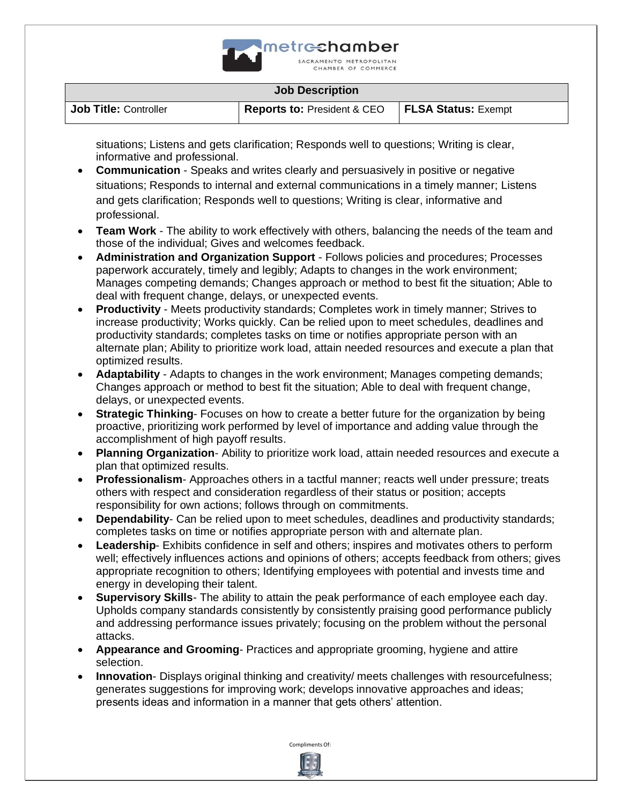

**Job Title:** Controller **Reports to: President & CEO FLSA Status:** Exempt

situations; Listens and gets clarification; Responds well to questions; Writing is clear, informative and professional.

- **Communication** Speaks and writes clearly and persuasively in positive or negative situations; Responds to internal and external communications in a timely manner; Listens and gets clarification; Responds well to questions; Writing is clear, informative and professional.
- **Team Work** The ability to work effectively with others, balancing the needs of the team and those of the individual; Gives and welcomes feedback.
- **Administration and Organization Support** Follows policies and procedures; Processes paperwork accurately, timely and legibly; Adapts to changes in the work environment; Manages competing demands; Changes approach or method to best fit the situation; Able to deal with frequent change, delays, or unexpected events.
- **Productivity** Meets productivity standards; Completes work in timely manner; Strives to increase productivity; Works quickly. Can be relied upon to meet schedules, deadlines and productivity standards; completes tasks on time or notifies appropriate person with an alternate plan; Ability to prioritize work load, attain needed resources and execute a plan that optimized results.
- **Adaptability**  Adapts to changes in the work environment; Manages competing demands; Changes approach or method to best fit the situation; Able to deal with frequent change, delays, or unexpected events.
- **Strategic Thinking-** Focuses on how to create a better future for the organization by being proactive, prioritizing work performed by level of importance and adding value through the accomplishment of high payoff results.
- **Planning Organization** Ability to prioritize work load, attain needed resources and execute a plan that optimized results.
- **Professionalism** Approaches others in a tactful manner; reacts well under pressure; treats others with respect and consideration regardless of their status or position; accepts responsibility for own actions; follows through on commitments.
- **Dependability** Can be relied upon to meet schedules, deadlines and productivity standards; completes tasks on time or notifies appropriate person with and alternate plan.
- **Leadership** Exhibits confidence in self and others; inspires and motivates others to perform well; effectively influences actions and opinions of others; accepts feedback from others; gives appropriate recognition to others; Identifying employees with potential and invests time and energy in developing their talent.
- **Supervisory Skills** The ability to attain the peak performance of each employee each day. Upholds company standards consistently by consistently praising good performance publicly and addressing performance issues privately; focusing on the problem without the personal attacks.
- **Appearance and Grooming** Practices and appropriate grooming, hygiene and attire selection.
- **Innovation** Displays original thinking and creativity/ meets challenges with resourcefulness; generates suggestions for improving work; develops innovative approaches and ideas; presents ideas and information in a manner that gets others' attention.

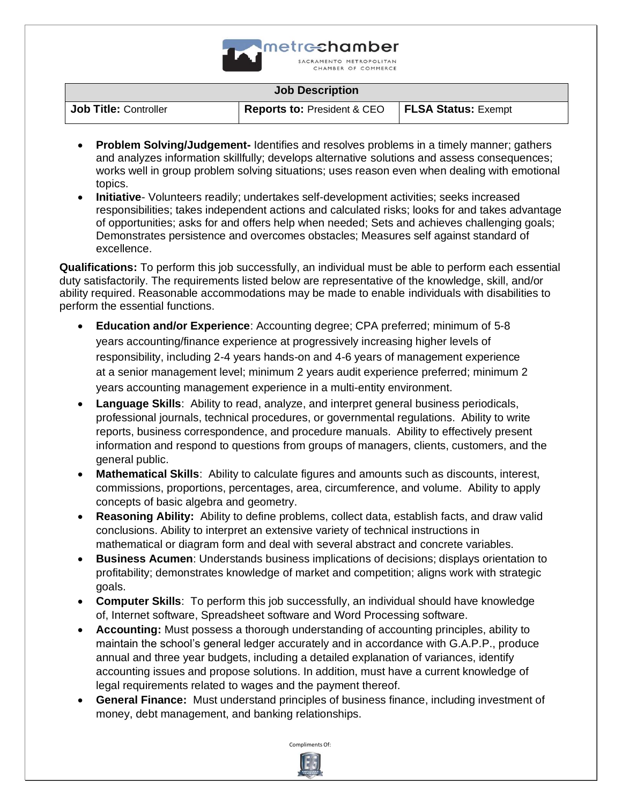

**Job Title:** Controller **Reports to: President & CEO FLSA Status:** Exempt

- **Problem Solving/Judgement-** Identifies and resolves problems in a timely manner; gathers and analyzes information skillfully; develops alternative solutions and assess consequences; works well in group problem solving situations; uses reason even when dealing with emotional topics.
- **Initiative** Volunteers readily; undertakes self-development activities; seeks increased responsibilities; takes independent actions and calculated risks; looks for and takes advantage of opportunities; asks for and offers help when needed; Sets and achieves challenging goals; Demonstrates persistence and overcomes obstacles; Measures self against standard of excellence.

**Qualifications:** To perform this job successfully, an individual must be able to perform each essential duty satisfactorily. The requirements listed below are representative of the knowledge, skill, and/or ability required. Reasonable accommodations may be made to enable individuals with disabilities to perform the essential functions.

- **Education and/or Experience**: Accounting degree; CPA preferred; minimum of 5-8 years accounting/finance experience at progressively increasing higher levels of responsibility, including 2-4 years hands-on and 4-6 years of management experience at a senior management level; minimum 2 years audit experience preferred; minimum 2 years accounting management experience in a multi-entity environment.
- **Language Skills**: Ability to read, analyze, and interpret general business periodicals, professional journals, technical procedures, or governmental regulations. Ability to write reports, business correspondence, and procedure manuals. Ability to effectively present information and respond to questions from groups of managers, clients, customers, and the general public.
- **Mathematical Skills**: Ability to calculate figures and amounts such as discounts, interest, commissions, proportions, percentages, area, circumference, and volume. Ability to apply concepts of basic algebra and geometry.
- **Reasoning Ability:** Ability to define problems, collect data, establish facts, and draw valid conclusions. Ability to interpret an extensive variety of technical instructions in mathematical or diagram form and deal with several abstract and concrete variables.
- **Business Acumen**: Understands business implications of decisions; displays orientation to profitability; demonstrates knowledge of market and competition; aligns work with strategic goals.
- **Computer Skills**: To perform this job successfully, an individual should have knowledge of, Internet software, Spreadsheet software and Word Processing software.
- **Accounting:** Must possess a thorough understanding of accounting principles, ability to maintain the school's general ledger accurately and in accordance with G.A.P.P., produce annual and three year budgets, including a detailed explanation of variances, identify accounting issues and propose solutions. In addition, must have a current knowledge of legal requirements related to wages and the payment thereof.
- **General Finance:** Must understand principles of business finance, including investment of money, debt management, and banking relationships.

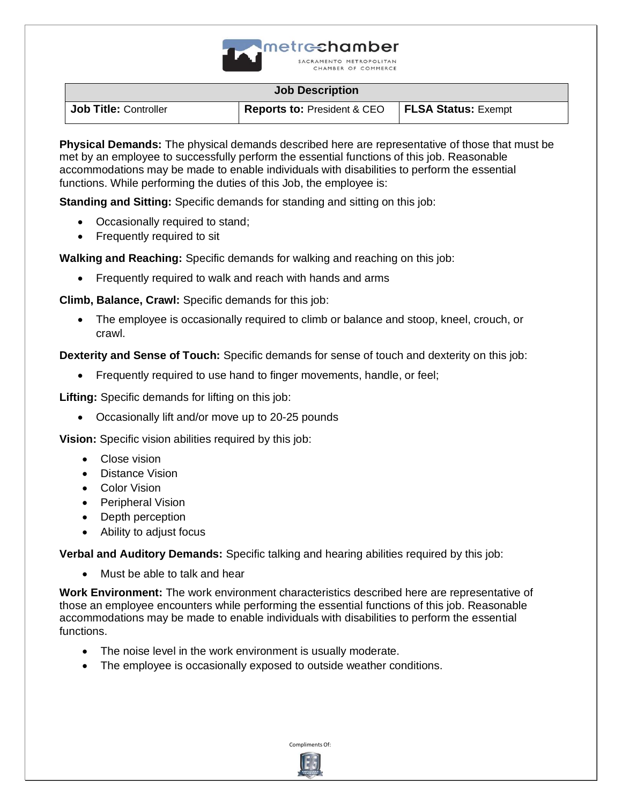

**Job Title:** Controller **Reports to: President & CEO FLSA Status:** Exempt

**Physical Demands:** The physical demands described here are representative of those that must be met by an employee to successfully perform the essential functions of this job. Reasonable accommodations may be made to enable individuals with disabilities to perform the essential functions. While performing the duties of this Job, the employee is:

**Standing and Sitting:** Specific demands for standing and sitting on this job:

- Occasionally required to stand;
- Frequently required to sit

**Walking and Reaching:** Specific demands for walking and reaching on this job:

• Frequently required to walk and reach with hands and arms

**Climb, Balance, Crawl:** Specific demands for this job:

• The employee is occasionally required to climb or balance and stoop, kneel, crouch, or crawl.

**Dexterity and Sense of Touch:** Specific demands for sense of touch and dexterity on this job:

• Frequently required to use hand to finger movements, handle, or feel;

**Lifting:** Specific demands for lifting on this job:

• Occasionally lift and/or move up to 20-25 pounds

**Vision:** Specific vision abilities required by this job:

- Close vision
- Distance Vision
- Color Vision
- Peripheral Vision
- Depth perception
- Ability to adjust focus

**Verbal and Auditory Demands:** Specific talking and hearing abilities required by this job:

• Must be able to talk and hear

**Work Environment:** The work environment characteristics described here are representative of those an employee encounters while performing the essential functions of this job. Reasonable accommodations may be made to enable individuals with disabilities to perform the essential functions.

- The noise level in the work environment is usually moderate.
- The employee is occasionally exposed to outside weather conditions.

Compliments Of: